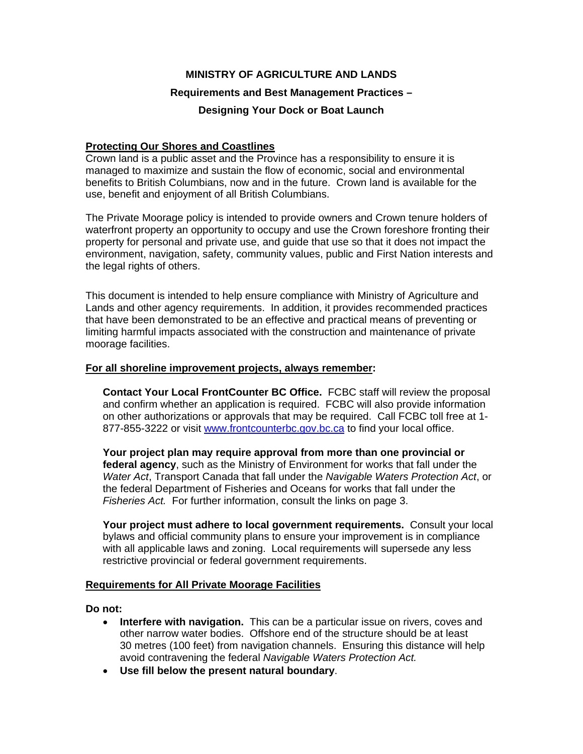## **MINISTRY OF AGRICULTURE AND LANDS**

# **Requirements and Best Management Practices –**

### **Designing Your Dock or Boat Launch**

## **Protecting Our Shores and Coastlines**

Crown land is a public asset and the Province has a responsibility to ensure it is managed to maximize and sustain the flow of economic, social and environmental benefits to British Columbians, now and in the future. Crown land is available for the use, benefit and enjoyment of all British Columbians.

The Private Moorage policy is intended to provide owners and Crown tenure holders of waterfront property an opportunity to occupy and use the Crown foreshore fronting their property for personal and private use, and guide that use so that it does not impact the environment, navigation, safety, community values, public and First Nation interests and the legal rights of others.

This document is intended to help ensure compliance with Ministry of Agriculture and Lands and other agency requirements. In addition, it provides recommended practices that have been demonstrated to be an effective and practical means of preventing or limiting harmful impacts associated with the construction and maintenance of private moorage facilities.

#### **For all shoreline improvement projects, always remember:**

**Contact Your Local FrontCounter BC Office.** FCBC staff will review the proposal and confirm whether an application is required. FCBC will also provide information on other authorizations or approvals that may be required. Call FCBC toll free at 1- 877-855-3222 or visit www.frontcounterbc.gov.bc.ca to find your local office.

**Your project plan may require approval from more than one provincial or federal agency**, such as the Ministry of Environment for works that fall under the *Water Act*, Transport Canada that fall under the *Navigable Waters Protection Act*, or the federal Department of Fisheries and Oceans for works that fall under the *Fisheries Act.* For further information, consult the links on page 3.

**Your project must adhere to local government requirements.** Consult your local bylaws and official community plans to ensure your improvement is in compliance with all applicable laws and zoning. Local requirements will supersede any less restrictive provincial or federal government requirements.

#### **Requirements for All Private Moorage Facilities**

#### **Do not:**

- **Interfere with navigation.** This can be a particular issue on rivers, coves and other narrow water bodies. Offshore end of the structure should be at least 30 metres (100 feet) from navigation channels. Ensuring this distance will help avoid contravening the federal *Navigable Waters Protection Act.*
- **Use fill below the present natural boundary**.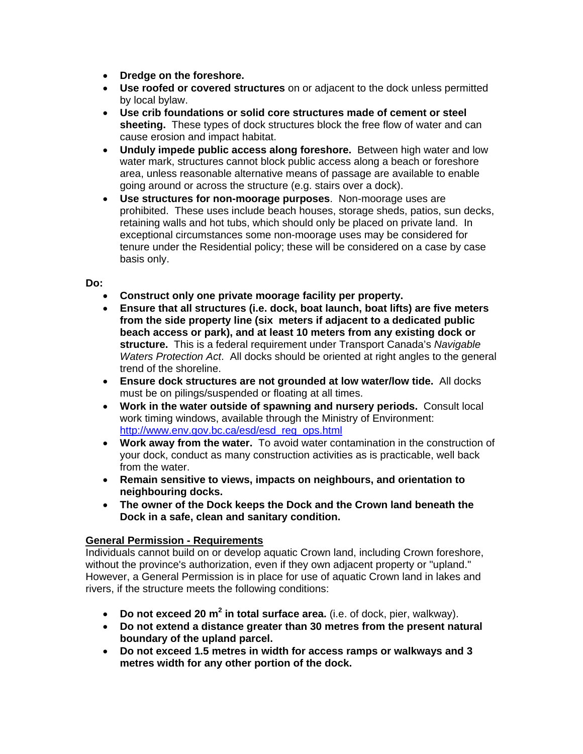- **Dredge on the foreshore.**
- **Use roofed or covered structures** on or adjacent to the dock unless permitted by local bylaw.
- **Use crib foundations or solid core structures made of cement or steel sheeting.** These types of dock structures block the free flow of water and can cause erosion and impact habitat.
- **Unduly impede public access along foreshore.** Between high water and low water mark, structures cannot block public access along a beach or foreshore area, unless reasonable alternative means of passage are available to enable going around or across the structure (e.g. stairs over a dock).
- **Use structures for non-moorage purposes**. Non-moorage uses are prohibited. These uses include beach houses, storage sheds, patios, sun decks, retaining walls and hot tubs, which should only be placed on private land. In exceptional circumstances some non-moorage uses may be considered for tenure under the Residential policy; these will be considered on a case by case basis only.

### **Do:**

- **Construct only one private moorage facility per property.**
- **Ensure that all structures (i.e. dock, boat launch, boat lifts) are five meters from the side property line (six meters if adjacent to a dedicated public beach access or park), and at least 10 meters from any existing dock or structure.** This is a federal requirement under Transport Canada's *Navigable Waters Protection Act*. All docks should be oriented at right angles to the general trend of the shoreline.
- **Ensure dock structures are not grounded at low water/low tide.** All docks must be on pilings/suspended or floating at all times.
- **Work in the water outside of spawning and nursery periods.** Consult local work timing windows, available through the Ministry of Environment: http://www.env.gov.bc.ca/esd/esd\_reg\_ops.html
- **Work away from the water.** To avoid water contamination in the construction of your dock, conduct as many construction activities as is practicable, well back from the water.
- **Remain sensitive to views, impacts on neighbours, and orientation to neighbouring docks.**
- **The owner of the Dock keeps the Dock and the Crown land beneath the Dock in a safe, clean and sanitary condition.**

# **General Permission - Requirements**

Individuals cannot build on or develop aquatic Crown land, including Crown foreshore, without the province's authorization, even if they own adjacent property or "upland." However, a General Permission is in place for use of aquatic Crown land in lakes and rivers, if the structure meets the following conditions:

- **Do not exceed 20 m<sup>2</sup> in total surface area.** (i.e. of dock, pier, walkway).
- **Do not extend a distance greater than 30 metres from the present natural boundary of the upland parcel.**
- **Do not exceed 1.5 metres in width for access ramps or walkways and 3 metres width for any other portion of the dock.**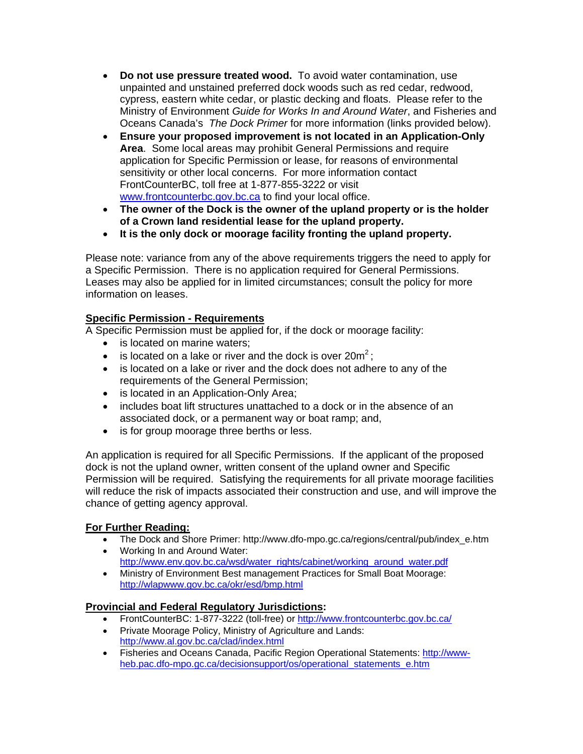- **Do not use pressure treated wood.** To avoid water contamination, use unpainted and unstained preferred dock woods such as red cedar, redwood, cypress, eastern white cedar, or plastic decking and floats. Please refer to the Ministry of Environment *Guide for Works In and Around Water*, and Fisheries and Oceans Canada's *The Dock Primer* for more information (links provided below).
- **Ensure your proposed improvement is not located in an Application-Only Area**. Some local areas may prohibit General Permissions and require application for Specific Permission or lease, for reasons of environmental sensitivity or other local concerns. For more information contact FrontCounterBC, toll free at 1-877-855-3222 or visit www.frontcounterbc.gov.bc.ca to find your local office.
- **The owner of the Dock is the owner of the upland property or is the holder of a Crown land residential lease for the upland property.**
- **It is the only dock or moorage facility fronting the upland property.**

Please note: variance from any of the above requirements triggers the need to apply for a Specific Permission. There is no application required for General Permissions. Leases may also be applied for in limited circumstances; consult the policy for more information on leases.

# **Specific Permission - Requirements**

A Specific Permission must be applied for, if the dock or moorage facility:

- is located on marine waters;
- is located on a lake or river and the dock is over  $20m^2$ ;
- is located on a lake or river and the dock does not adhere to any of the requirements of the General Permission;
- is located in an Application-Only Area;
- includes boat lift structures unattached to a dock or in the absence of an associated dock, or a permanent way or boat ramp; and,
- is for group moorage three berths or less.

An application is required for all Specific Permissions. If the applicant of the proposed dock is not the upland owner, written consent of the upland owner and Specific Permission will be required. Satisfying the requirements for all private moorage facilities will reduce the risk of impacts associated their construction and use, and will improve the chance of getting agency approval.

# **For Further Reading:**

- The Dock and Shore Primer: http://www.dfo-mpo.gc.ca/regions/central/pub/index\_e.htm
- Working In and Around Water: http://www.env.gov.bc.ca/wsd/water\_rights/cabinet/working\_around\_water.pdf
- Ministry of Environment Best management Practices for Small Boat Moorage: http://wlapwww.gov.bc.ca/okr/esd/bmp.html

# **Provincial and Federal Regulatory Jurisdictions:**

- FrontCounterBC: 1-877-3222 (toll-free) or http://www.frontcounterbc.gov.bc.ca/
- Private Moorage Policy, Ministry of Agriculture and Lands: http://www.al.gov.bc.ca/clad/index.html
- Fisheries and Oceans Canada, Pacific Region Operational Statements: http://wwwheb.pac.dfo-mpo.gc.ca/decisionsupport/os/operational\_statements\_e.htm